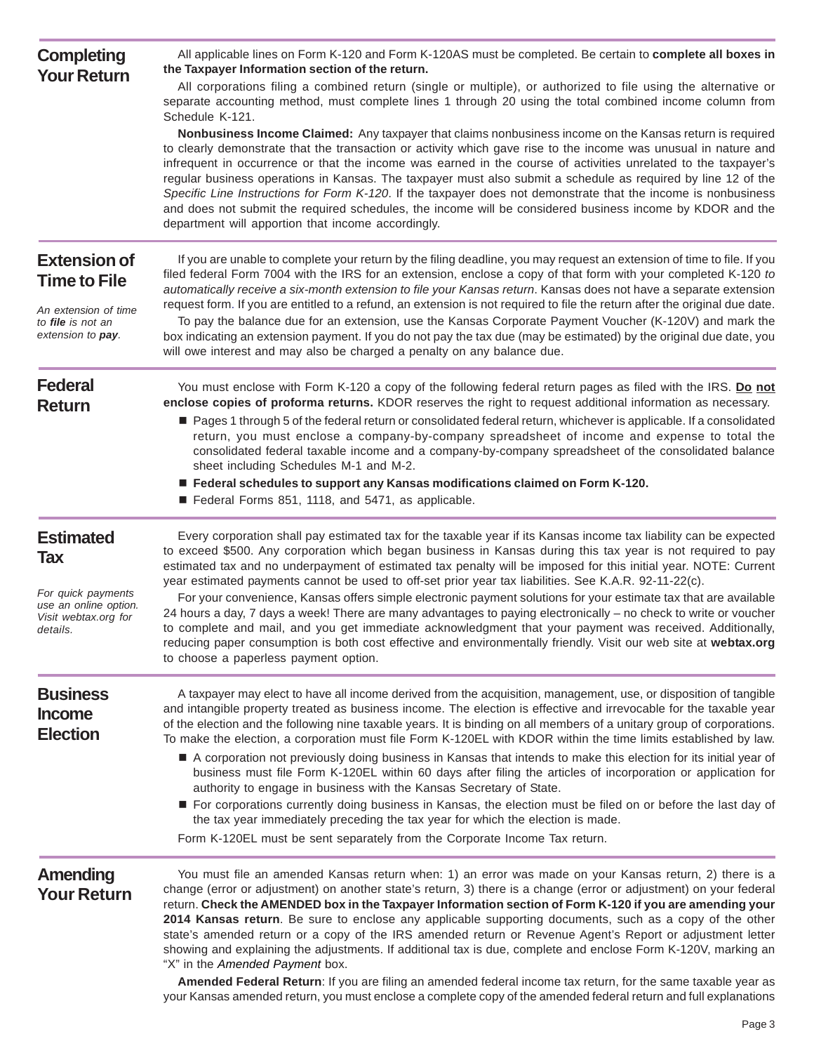| <b>Completing</b><br><b>Your Return</b>                                         | All applicable lines on Form K-120 and Form K-120AS must be completed. Be certain to complete all boxes in<br>the Taxpayer Information section of the return.                                                                                                                                                                                                                                                                                                                                                                                                                                                                                                                                                                                       |
|---------------------------------------------------------------------------------|-----------------------------------------------------------------------------------------------------------------------------------------------------------------------------------------------------------------------------------------------------------------------------------------------------------------------------------------------------------------------------------------------------------------------------------------------------------------------------------------------------------------------------------------------------------------------------------------------------------------------------------------------------------------------------------------------------------------------------------------------------|
|                                                                                 | All corporations filing a combined return (single or multiple), or authorized to file using the alternative or<br>separate accounting method, must complete lines 1 through 20 using the total combined income column from<br>Schedule K-121.                                                                                                                                                                                                                                                                                                                                                                                                                                                                                                       |
|                                                                                 | Nonbusiness Income Claimed: Any taxpayer that claims nonbusiness income on the Kansas return is required<br>to clearly demonstrate that the transaction or activity which gave rise to the income was unusual in nature and<br>infrequent in occurrence or that the income was earned in the course of activities unrelated to the taxpayer's<br>regular business operations in Kansas. The taxpayer must also submit a schedule as required by line 12 of the<br>Specific Line Instructions for Form K-120. If the taxpayer does not demonstrate that the income is nonbusiness<br>and does not submit the required schedules, the income will be considered business income by KDOR and the<br>department will apportion that income accordingly. |
| <b>Extension of</b>                                                             | If you are unable to complete your return by the filing deadline, you may request an extension of time to file. If you<br>filed federal Form 7004 with the IRS for an extension, enclose a copy of that form with your completed K-120 to                                                                                                                                                                                                                                                                                                                                                                                                                                                                                                           |
| <b>Time to File</b>                                                             | automatically receive a six-month extension to file your Kansas return. Kansas does not have a separate extension<br>request form. If you are entitled to a refund, an extension is not required to file the return after the original due date.                                                                                                                                                                                                                                                                                                                                                                                                                                                                                                    |
| An extension of time<br>to file is not an<br>extension to <b>pay</b> .          | To pay the balance due for an extension, use the Kansas Corporate Payment Voucher (K-120V) and mark the<br>box indicating an extension payment. If you do not pay the tax due (may be estimated) by the original due date, you<br>will owe interest and may also be charged a penalty on any balance due.                                                                                                                                                                                                                                                                                                                                                                                                                                           |
| <b>Federal</b><br><b>Return</b>                                                 | You must enclose with Form K-120 a copy of the following federal return pages as filed with the IRS. Do not<br>enclose copies of proforma returns. KDOR reserves the right to request additional information as necessary.                                                                                                                                                                                                                                                                                                                                                                                                                                                                                                                          |
|                                                                                 | Pages 1 through 5 of the federal return or consolidated federal return, whichever is applicable. If a consolidated<br>return, you must enclose a company-by-company spreadsheet of income and expense to total the<br>consolidated federal taxable income and a company-by-company spreadsheet of the consolidated balance<br>sheet including Schedules M-1 and M-2.                                                                                                                                                                                                                                                                                                                                                                                |
|                                                                                 | ■ Federal schedules to support any Kansas modifications claimed on Form K-120.<br>Federal Forms 851, 1118, and 5471, as applicable.                                                                                                                                                                                                                                                                                                                                                                                                                                                                                                                                                                                                                 |
| <b>Estimated</b><br><b>Tax</b>                                                  | Every corporation shall pay estimated tax for the taxable year if its Kansas income tax liability can be expected<br>to exceed \$500. Any corporation which began business in Kansas during this tax year is not required to pay<br>estimated tax and no underpayment of estimated tax penalty will be imposed for this initial year. NOTE: Current<br>year estimated payments cannot be used to off-set prior year tax liabilities. See K.A.R. 92-11-22(c).                                                                                                                                                                                                                                                                                        |
| For quick payments<br>use an online option.<br>Visit webtax.org for<br>details. | For your convenience, Kansas offers simple electronic payment solutions for your estimate tax that are available<br>24 hours a day, 7 days a week! There are many advantages to paying electronically – no check to write or voucher<br>to complete and mail, and you get immediate acknowledgment that your payment was received. Additionally,<br>reducing paper consumption is both cost effective and environmentally friendly. Visit our web site at webtax.org<br>to choose a paperless payment option.                                                                                                                                                                                                                                       |
| <b>Business</b><br><b>Income</b><br><b>Election</b>                             | A taxpayer may elect to have all income derived from the acquisition, management, use, or disposition of tangible<br>and intangible property treated as business income. The election is effective and irrevocable for the taxable year<br>of the election and the following nine taxable years. It is binding on all members of a unitary group of corporations.<br>To make the election, a corporation must file Form K-120EL with KDOR within the time limits established by law.                                                                                                                                                                                                                                                                |
|                                                                                 | A corporation not previously doing business in Kansas that intends to make this election for its initial year of<br>business must file Form K-120EL within 60 days after filing the articles of incorporation or application for<br>authority to engage in business with the Kansas Secretary of State.                                                                                                                                                                                                                                                                                                                                                                                                                                             |
|                                                                                 | For corporations currently doing business in Kansas, the election must be filed on or before the last day of<br>the tax year immediately preceding the tax year for which the election is made.                                                                                                                                                                                                                                                                                                                                                                                                                                                                                                                                                     |
|                                                                                 | Form K-120EL must be sent separately from the Corporate Income Tax return.                                                                                                                                                                                                                                                                                                                                                                                                                                                                                                                                                                                                                                                                          |
| <b>Amending</b><br><b>Your Return</b>                                           | You must file an amended Kansas return when: 1) an error was made on your Kansas return, 2) there is a<br>change (error or adjustment) on another state's return, 3) there is a change (error or adjustment) on your federal<br>return. Check the AMENDED box in the Taxpayer Information section of Form K-120 if you are amending your<br>2014 Kansas return. Be sure to enclose any applicable supporting documents, such as a copy of the other                                                                                                                                                                                                                                                                                                 |
|                                                                                 | state's amended return or a copy of the IRS amended return or Revenue Agent's Report or adjustment letter<br>showing and explaining the adjustments. If additional tax is due, complete and enclose Form K-120V, marking an<br>"X" in the Amended Payment box.                                                                                                                                                                                                                                                                                                                                                                                                                                                                                      |
|                                                                                 | Amended Federal Return: If you are filing an amended federal income tax return, for the same taxable year as<br>your Kansas amended return, you must enclose a complete copy of the amended federal return and full explanations                                                                                                                                                                                                                                                                                                                                                                                                                                                                                                                    |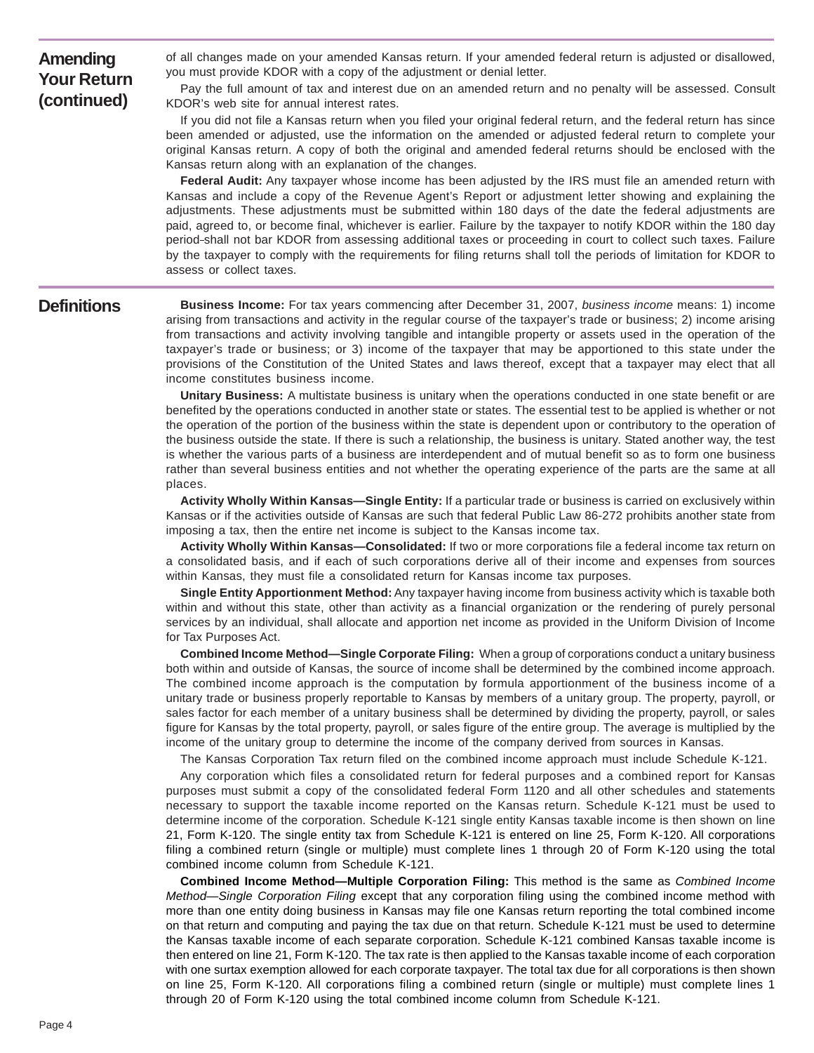**Amending Your Return (continued)** 

of all changes made on your amended Kansas return. If your amended federal return is adjusted or disallowed, you must provide KDOR with a copy of the adjustment or denial letter.

Pay the full amount of tax and interest due on an amended return and no penalty will be assessed. Consult KDOR's web site for annual interest rates.

If you did not file a Kansas return when you filed your original federal return, and the federal return has since been amended or adjusted, use the information on the amended or adjusted federal return to complete your original Kansas return. A copy of both the original and amended federal returns should be enclosed with the Kansas return along with an explanation of the changes.

**Federal Audit:** Any taxpayer whose income has been adjusted by the IRS must file an amended return with Kansas and include a copy of the Revenue Agent's Report or adjustment letter showing and explaining the adjustments. These adjustments must be submitted within 180 days of the date the federal adjustments are paid, agreed to, or become final, whichever is earlier. Failure by the taxpayer to notify KDOR within the 180 day period shall not bar KDOR from assessing additional taxes or proceeding in court to collect such taxes. Failure by the taxpayer to comply with the requirements for filing returns shall toll the periods of limitation for KDOR to assess or collect taxes.

### **Definitions**

**Business Income:** For tax years commencing after December 31, 2007, *business income* means: 1) income arising from transactions and activity in the regular course of the taxpayer's trade or business; 2) income arising from transactions and activity involving tangible and intangible property or assets used in the operation of the taxpayer's trade or business; or 3) income of the taxpayer that may be apportioned to this state under the provisions of the Constitution of the United States and laws thereof, except that a taxpayer may elect that all income constitutes business income.

**Unitary Business:** A multistate business is unitary when the operations conducted in one state benefit or are benefited by the operations conducted in another state or states. The essential test to be applied is whether or not the operation of the portion of the business within the state is dependent upon or contributory to the operation of the business outside the state. If there is such a relationship, the business is unitary. Stated another way, the test is whether the various parts of a business are interdependent and of mutual benefit so as to form one business rather than several business entities and not whether the operating experience of the parts are the same at all places.

**Activity Wholly Within Kansas—Single Entity:** If a particular trade or business is carried on exclusively within Kansas or if the activities outside of Kansas are such that federal Public Law 86-272 prohibits another state from imposing a tax, then the entire net income is subject to the Kansas income tax.

**Activity Wholly Within Kansas—Consolidated:** If two or more corporations file a federal income tax return on a consolidated basis, and if each of such corporations derive all of their income and expenses from sources within Kansas, they must file a consolidated return for Kansas income tax purposes.

**Single Entity Apportionment Method:** Any taxpayer having income from business activity which is taxable both within and without this state, other than activity as a financial organization or the rendering of purely personal services by an individual, shall allocate and apportion net income as provided in the Uniform Division of Income for Tax Purposes Act.

**Combined Income Method—Single Corporate Filing:** When a group of corporations conduct a unitary business both within and outside of Kansas, the source of income shall be determined by the combined income approach. The combined income approach is the computation by formula apportionment of the business income of a unitary trade or business properly reportable to Kansas by members of a unitary group. The property, payroll, or sales factor for each member of a unitary business shall be determined by dividing the property, payroll, or sales figure for Kansas by the total property, payroll, or sales figure of the entire group. The average is multiplied by the income of the unitary group to determine the income of the company derived from sources in Kansas.

The Kansas Corporation Tax return filed on the combined income approach must include Schedule K-121.

Any corporation which files a consolidated return for federal purposes and a combined report for Kansas purposes must submit a copy of the consolidated federal Form 1120 and all other schedules and statements necessary to support the taxable income reported on the Kansas return. Schedule K-121 must be used to determine income of the corporation. Schedule K-121 single entity Kansas taxable income is then shown on line 21, Form K-120. The single entity tax from Schedule K-121 is entered on line 25, Form K-120. All corporations filing a combined return (single or multiple) must complete lines 1 through 20 of Form K-120 using the total combined income column from Schedule K-121.

**Combined Income Method—Multiple Corporation Filing:** This method is the same as *Combined Income Method—Single Corporation Filing* except that any corporation filing using the combined income method with more than one entity doing business in Kansas may file one Kansas return reporting the total combined income on that return and computing and paying the tax due on that return. Schedule K-121 must be used to determine the Kansas taxable income of each separate corporation. Schedule K-121 combined Kansas taxable income is then entered on line 21, Form K-120. The tax rate is then applied to the Kansas taxable income of each corporation with one surtax exemption allowed for each corporate taxpayer. The total tax due for all corporations is then shown on line 25, Form K-120. All corporations filing a combined return (single or multiple) must complete lines 1 through 20 of Form K-120 using the total combined income column from Schedule K-121.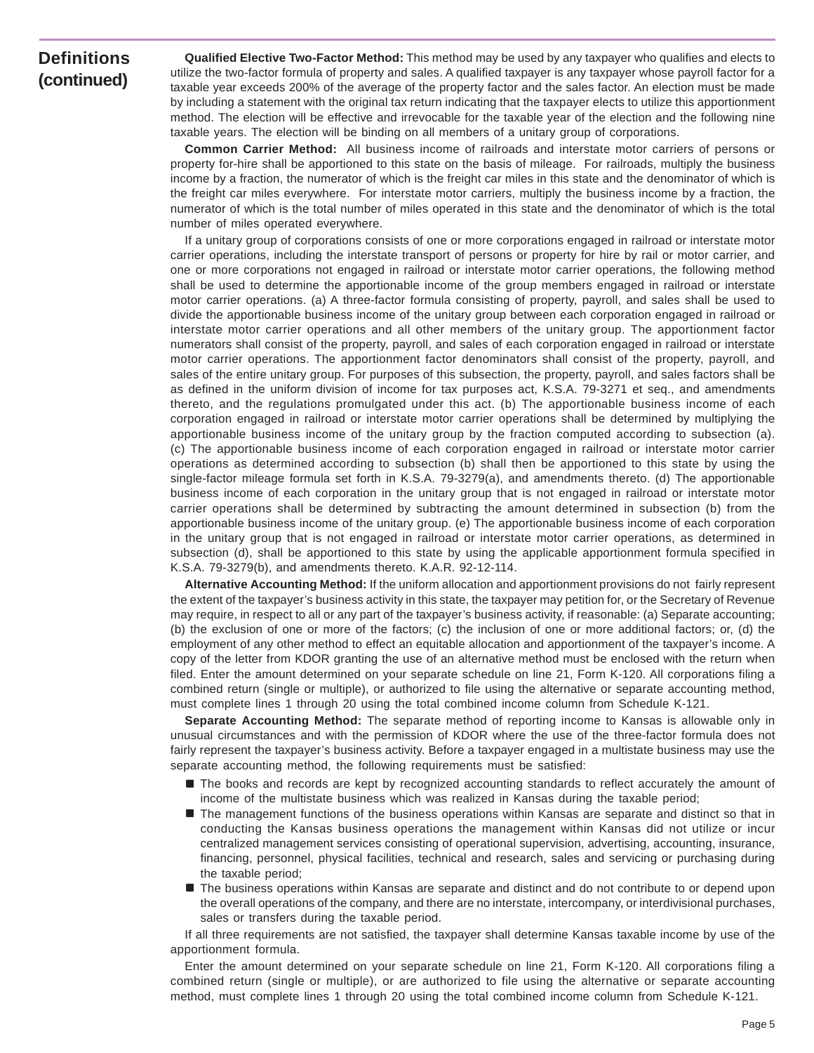## **Definitions (continued)**

**Qualified Elective Two-Factor Method:** This method may be used by any taxpayer who qualifies and elects to utilize the two-factor formula of property and sales. A qualified taxpayer is any taxpayer whose payroll factor for a taxable year exceeds 200% of the average of the property factor and the sales factor. An election must be made by including a statement with the original tax return indicating that the taxpayer elects to utilize this apportionment method. The election will be effective and irrevocable for the taxable year of the election and the following nine taxable years. The election will be binding on all members of a unitary group of corporations.

**Common Carrier Method:** All business income of railroads and interstate motor carriers of persons or property for-hire shall be apportioned to this state on the basis of mileage. For railroads, multiply the business income by a fraction, the numerator of which is the freight car miles in this state and the denominator of which is the freight car miles everywhere. For interstate motor carriers, multiply the business income by a fraction, the numerator of which is the total number of miles operated in this state and the denominator of which is the total number of miles operated everywhere.

If a unitary group of corporations consists of one or more corporations engaged in railroad or interstate motor carrier operations, including the interstate transport of persons or property for hire by rail or motor carrier, and one or more corporations not engaged in railroad or interstate motor carrier operations, the following method shall be used to determine the apportionable income of the group members engaged in railroad or interstate motor carrier operations. (a) A three-factor formula consisting of property, payroll, and sales shall be used to divide the apportionable business income of the unitary group between each corporation engaged in railroad or interstate motor carrier operations and all other members of the unitary group. The apportionment factor numerators shall consist of the property, payroll, and sales of each corporation engaged in railroad or interstate motor carrier operations. The apportionment factor denominators shall consist of the property, payroll, and sales of the entire unitary group. For purposes of this subsection, the property, payroll, and sales factors shall be as defined in the uniform division of income for tax purposes act, K.S.A. 79-3271 et seq., and amendments thereto, and the regulations promulgated under this act. (b) The apportionable business income of each corporation engaged in railroad or interstate motor carrier operations shall be determined by multiplying the apportionable business income of the unitary group by the fraction computed according to subsection (a). (c) The apportionable business income of each corporation engaged in railroad or interstate motor carrier operations as determined according to subsection (b) shall then be apportioned to this state by using the single-factor mileage formula set forth in K.S.A. 79-3279(a), and amendments thereto. (d) The apportionable business income of each corporation in the unitary group that is not engaged in railroad or interstate motor carrier operations shall be determined by subtracting the amount determined in subsection (b) from the apportionable business income of the unitary group. (e) The apportionable business income of each corporation in the unitary group that is not engaged in railroad or interstate motor carrier operations, as determined in subsection (d), shall be apportioned to this state by using the applicable apportionment formula specified in K.S.A. 79-3279(b), and amendments thereto. K.A.R. 92-12-114.

**Alternative Accounting Method:** If the uniform allocation and apportionment provisions do not fairly represent the extent of the taxpayer's business activity in this state, the taxpayer may petition for, or the Secretary of Revenue may require, in respect to all or any part of the taxpayer's business activity, if reasonable: (a) Separate accounting; (b) the exclusion of one or more of the factors; (c) the inclusion of one or more additional factors; or, (d) the employment of any other method to effect an equitable allocation and apportionment of the taxpayer's income. A copy of the letter from KDOR granting the use of an alternative method must be enclosed with the return when filed. Enter the amount determined on your separate schedule on line 21, Form K-120. All corporations filing a combined return (single or multiple), or authorized to file using the alternative or separate accounting method, must complete lines 1 through 20 using the total combined income column from Schedule K-121.

**Separate Accounting Method:** The separate method of reporting income to Kansas is allowable only in unusual circumstances and with the permission of KDOR where the use of the three-factor formula does not fairly represent the taxpayer's business activity. Before a taxpayer engaged in a multistate business may use the separate accounting method, the following requirements must be satisfied:

- $\blacksquare$  The books and records are kept by recognized accounting standards to reflect accurately the amount of income of the multistate business which was realized in Kansas during the taxable period;
- $\blacksquare$  The management functions of the business operations within Kansas are separate and distinct so that in conducting the Kansas business operations the management within Kansas did not utilize or incur centralized management services consisting of operational supervision, advertising, accounting, insurance, financing, personnel, physical facilities, technical and research, sales and servicing or purchasing during the taxable period;
- $\blacksquare$  The business operations within Kansas are separate and distinct and do not contribute to or depend upon the overall operations of the company, and there are no interstate, intercompany, or interdivisional purchases, sales or transfers during the taxable period.

If all three requirements are not satisfied, the taxpayer shall determine Kansas taxable income by use of the apportionment formula.

Enter the amount determined on your separate schedule on line 21, Form K-120. All corporations filing a combined return (single or multiple), or are authorized to file using the alternative or separate accounting method, must complete lines 1 through 20 using the total combined income column from Schedule K-121.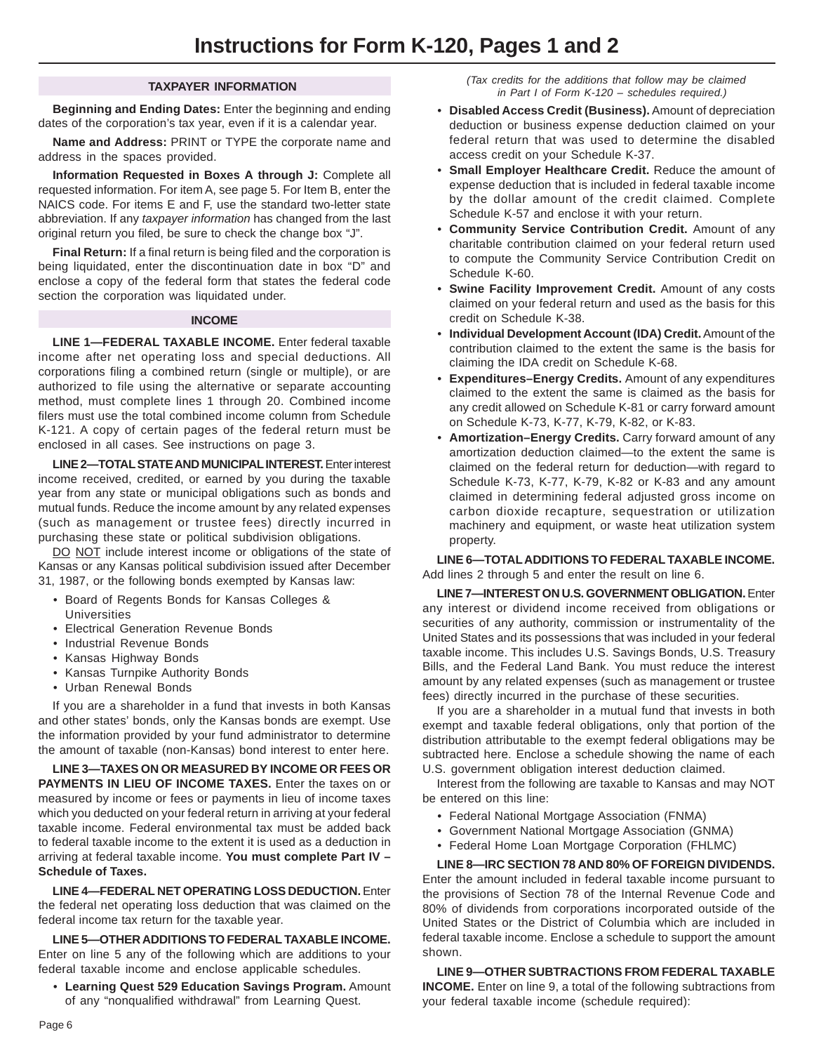#### **TAXPAYER INFORMATION**

**Beginning and Ending Dates:** Enter the beginning and ending dates of the corporation's tax year, even if it is a calendar year.

**Name and Address:** PRINT or TYPE the corporate name and address in the spaces provided.

**Information Requested in Boxes A through J:** Complete all requested information. For item A, see page 5. For Item B, enter the NAICS code. For items E and F, use the standard two-letter state abbreviation. If any *taxpayer information* has changed from the last original return you filed, be sure to check the change box "J".

**Final Return:** If a final return is being filed and the corporation is being liquidated, enter the discontinuation date in box "D" and enclose a copy of the federal form that states the federal code section the corporation was liquidated under.

#### **INCOME**

**LINE 1—FEDERAL TAXABLE INCOME.** Enter federal taxable income after net operating loss and special deductions. All corporations filing a combined return (single or multiple), or are authorized to file using the alternative or separate accounting method, must complete lines 1 through 20. Combined income filers must use the total combined income column from Schedule K-121. A copy of certain pages of the federal return must be enclosed in all cases. See instructions on page 3.

**LINE 2—TOTAL STATE AND MUNICIPAL INTEREST.** Enter interest income received, credited, or earned by you during the taxable year from any state or municipal obligations such as bonds and mutual funds. Reduce the income amount by any related expenses (such as management or trustee fees) directly incurred in purchasing these state or political subdivision obligations.

DO NOT include interest income or obligations of the state of Kansas or any Kansas political subdivision issued after December 31, 1987, or the following bonds exempted by Kansas law:

- Board of Regents Bonds for Kansas Colleges & Universities
- Electrical Generation Revenue Bonds
- Industrial Revenue Bonds
- Kansas Highway Bonds
- Kansas Turnpike Authority Bonds
- Urban Renewal Bonds

If you are a shareholder in a fund that invests in both Kansas and other states' bonds, only the Kansas bonds are exempt. Use the information provided by your fund administrator to determine the amount of taxable (non-Kansas) bond interest to enter here.

**LINE 3—TAXES ON OR MEASURED BY INCOME OR FEES OR PAYMENTS IN LIEU OF INCOME TAXES.** Enter the taxes on or measured by income or fees or payments in lieu of income taxes which you deducted on your federal return in arriving at your federal taxable income. Federal environmental tax must be added back to federal taxable income to the extent it is used as a deduction in arriving at federal taxable income. **You must complete Part IV – Schedule of Taxes.** 

**LINE 4—FEDERAL NET OPERATING LOSS DEDUCTION.** Enter the federal net operating loss deduction that was claimed on the federal income tax return for the taxable year.

**LINE 5—OTHER ADDITIONS TO FEDERAL TAXABLE INCOME.**  Enter on line 5 any of the following which are additions to your federal taxable income and enclose applicable schedules.

• **Learning Quest 529 Education Savings Program.** Amount of any "nonqualified withdrawal" from Learning Quest.

*(Tax credits for the additions that follow may be claimed in Part I of Form K-120 – schedules required.)* 

- **Disabled Access Credit (Business).** Amount of depreciation deduction or business expense deduction claimed on your federal return that was used to determine the disabled access credit on your Schedule K-37.
- **Small Employer Healthcare Credit.** Reduce the amount of expense deduction that is included in federal taxable income by the dollar amount of the credit claimed. Complete Schedule K-57 and enclose it with your return.
- **Community Service Contribution Credit.** Amount of any charitable contribution claimed on your federal return used to compute the Community Service Contribution Credit on Schedule K-60.
- **Swine Facility Improvement Credit.** Amount of any costs claimed on your federal return and used as the basis for this credit on Schedule K-38.
- **Individual Development Account (IDA) Credit.** Amount of the contribution claimed to the extent the same is the basis for claiming the IDA credit on Schedule K-68.
- **Expenditures–Energy Credits.** Amount of any expenditures claimed to the extent the same is claimed as the basis for any credit allowed on Schedule K-81 or carry forward amount on Schedule K-73, K-77, K-79, K-82, or K-83.
- **Amortization–Energy Credits.** Carry forward amount of any amortization deduction claimed—to the extent the same is claimed on the federal return for deduction—with regard to Schedule K-73, K-77, K-79, K-82 or K-83 and any amount claimed in determining federal adjusted gross income on carbon dioxide recapture, sequestration or utilization machinery and equipment, or waste heat utilization system property.

**LINE 6—TOTAL ADDITIONS TO FEDERAL TAXABLE INCOME.**  Add lines 2 through 5 and enter the result on line 6.

**LINE 7—INTEREST ON U.S. GOVERNMENT OBLIGATION.** Enter any interest or dividend income received from obligations or securities of any authority, commission or instrumentality of the United States and its possessions that was included in your federal taxable income. This includes U.S. Savings Bonds, U.S. Treasury Bills, and the Federal Land Bank. You must reduce the interest amount by any related expenses (such as management or trustee fees) directly incurred in the purchase of these securities.

If you are a shareholder in a mutual fund that invests in both exempt and taxable federal obligations, only that portion of the distribution attributable to the exempt federal obligations may be subtracted here. Enclose a schedule showing the name of each U.S. government obligation interest deduction claimed.

Interest from the following are taxable to Kansas and may NOT be entered on this line:

- Federal National Mortgage Association (FNMA)
- Government National Mortgage Association (GNMA)
- Federal Home Loan Mortgage Corporation (FHLMC)

**LINE 8—IRC SECTION 78 AND 80% OF FOREIGN DIVIDENDS.**  Enter the amount included in federal taxable income pursuant to the provisions of Section 78 of the Internal Revenue Code and 80% of dividends from corporations incorporated outside of the United States or the District of Columbia which are included in federal taxable income. Enclose a schedule to support the amount shown.

**LINE 9—OTHER SUBTRACTIONS FROM FEDERAL TAXABLE INCOME.** Enter on line 9, a total of the following subtractions from your federal taxable income (schedule required):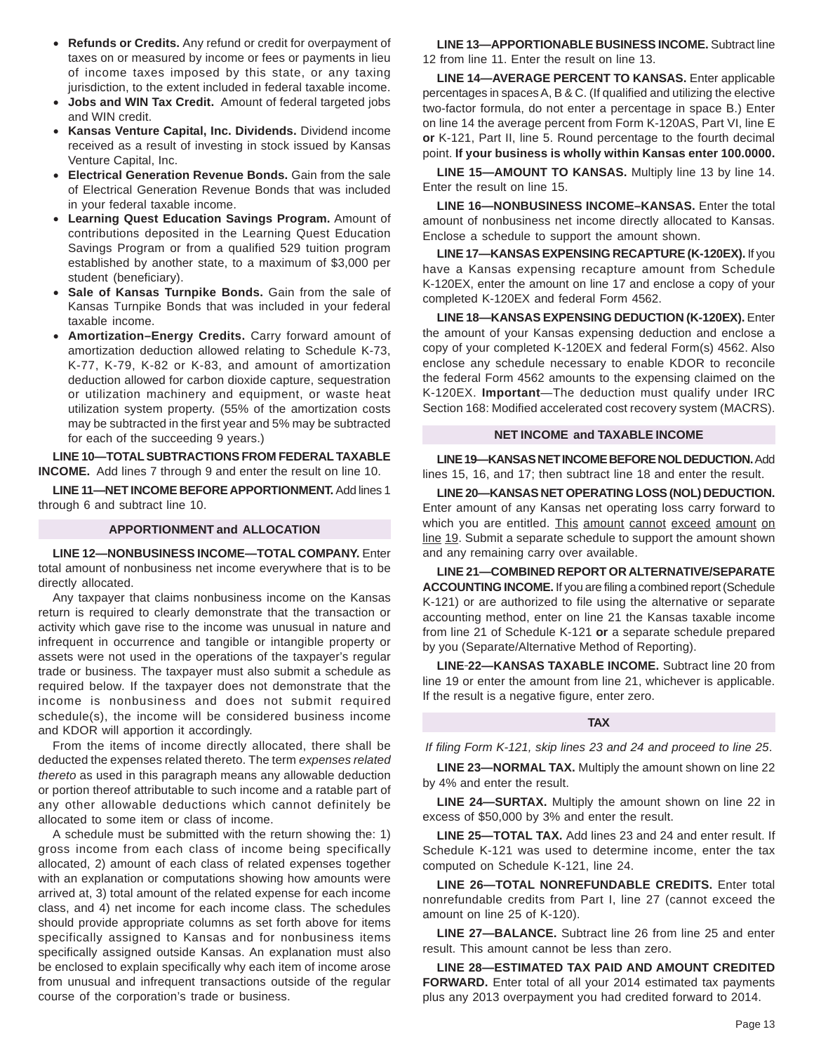- **Refunds or Credits.** Any refund or credit for overpayment of taxes on or measured by income or fees or payments in lieu of income taxes imposed by this state, or any taxing jurisdiction, to the extent included in federal taxable income.
- **Jobs and WIN Tax Credit.** Amount of federal targeted jobs and WIN credit.
- **Kansas Venture Capital, Inc. Dividends.** Dividend income received as a result of investing in stock issued by Kansas Venture Capital, Inc.
- **Electrical Generation Revenue Bonds.** Gain from the sale of Electrical Generation Revenue Bonds that was included in your federal taxable income.
- **Learning Quest Education Savings Program.** Amount of contributions deposited in the Learning Quest Education Savings Program or from a qualified 529 tuition program established by another state, to a maximum of \$3,000 per student (beneficiary).
- **Sale of Kansas Turnpike Bonds.** Gain from the sale of Kansas Turnpike Bonds that was included in your federal taxable income.
- **Amortization–Energy Credits.** Carry forward amount of amortization deduction allowed relating to Schedule K-73, K-77, K-79, K-82 or K-83, and amount of amortization deduction allowed for carbon dioxide capture, sequestration or utilization machinery and equipment, or waste heat utilization system property. (55% of the amortization costs may be subtracted in the first year and 5% may be subtracted for each of the succeeding 9 years.)

**LINE 10—TOTAL SUBTRACTIONS FROM FEDERAL TAXABLE INCOME.** Add lines 7 through 9 and enter the result on line 10.

**LINE 11—NET INCOME BEFORE APPORTIONMENT.** Add lines 1 through 6 and subtract line 10.

#### **APPORTIONMENT and ALLOCATION**

**LINE 12—NONBUSINESS INCOME—TOTAL COMPANY.** Enter total amount of nonbusiness net income everywhere that is to be directly allocated.

Any taxpayer that claims nonbusiness income on the Kansas return is required to clearly demonstrate that the transaction or activity which gave rise to the income was unusual in nature and infrequent in occurrence and tangible or intangible property or assets were not used in the operations of the taxpayer's regular trade or business. The taxpayer must also submit a schedule as required below. If the taxpayer does not demonstrate that the income is nonbusiness and does not submit required schedule(s), the income will be considered business income and KDOR will apportion it accordingly.

From the items of income directly allocated, there shall be deducted the expenses related thereto. The term *expenses related thereto* as used in this paragraph means any allowable deduction or portion thereof attributable to such income and a ratable part of any other allowable deductions which cannot definitely be allocated to some item or class of income.

A schedule must be submitted with the return showing the: 1) gross income from each class of income being specifically allocated, 2) amount of each class of related expenses together with an explanation or computations showing how amounts were arrived at, 3) total amount of the related expense for each income class, and 4) net income for each income class. The schedules should provide appropriate columns as set forth above for items specifically assigned to Kansas and for nonbusiness items specifically assigned outside Kansas. An explanation must also be enclosed to explain specifically why each item of income arose from unusual and infrequent transactions outside of the regular course of the corporation's trade or business.

**LINE 13—APPORTIONABLE BUSINESS INCOME.** Subtract line 12 from line 11. Enter the result on line 13.

**LINE 14—AVERAGE PERCENT TO KANSAS.** Enter applicable percentages in spaces A, B & C. (If qualified and utilizing the elective two-factor formula, do not enter a percentage in space B.) Enter on line 14 the average percent from Form K-120AS, Part VI, line E **or** K-121, Part II, line 5. Round percentage to the fourth decimal point. **If your business is wholly within Kansas enter 100.0000.** 

**LINE 15—AMOUNT TO KANSAS.** Multiply line 13 by line 14. Enter the result on line 15.

**LINE 16—NONBUSINESS INCOME–KANSAS.** Enter the total amount of nonbusiness net income directly allocated to Kansas. Enclose a schedule to support the amount shown.

**LINE 17—KANSAS EXPENSING RECAPTURE (K-120EX).** If you have a Kansas expensing recapture amount from Schedule K-120EX, enter the amount on line 17 and enclose a copy of your completed K-120EX and federal Form 4562.

**LINE 18—KANSAS EXPENSING DEDUCTION (K-120EX).** Enter the amount of your Kansas expensing deduction and enclose a copy of your completed K-120EX and federal Form(s) 4562. Also enclose any schedule necessary to enable KDOR to reconcile the federal Form 4562 amounts to the expensing claimed on the K-120EX. **Important**—The deduction must qualify under IRC Section 168: Modified accelerated cost recovery system (MACRS).

#### **NET INCOME and TAXABLE INCOME**

**LINE 19—KANSAS NET INCOME BEFORE NOL DEDUCTION.** Add lines 15, 16, and 17; then subtract line 18 and enter the result.

**LINE 20—KANSAS NET OPERATING LOSS (NOL) DEDUCTION.**  Enter amount of any Kansas net operating loss carry forward to which you are entitled. This amount cannot exceed amount on line 19. Submit a separate schedule to support the amount shown and any remaining carry over available.

**LINE 21—COMBINED REPORT OR ALTERNATIVE/SEPARATE ACCOUNTING INCOME.** If you are filing a combined report (Schedule K-121) or are authorized to file using the alternative or separate accounting method, enter on line 21 the Kansas taxable income from line 21 of Schedule K-121 **or** a separate schedule prepared by you (Separate/Alternative Method of Reporting).

**LINE 22—KANSAS TAXABLE INCOME.** Subtract line 20 from line 19 or enter the amount from line 21, whichever is applicable. If the result is a negative figure, enter zero.

#### **TAX**

*If filing Form K-121, skip lines 23 and 24 and proceed to line 25*.

**LINE 23—NORMAL TAX.** Multiply the amount shown on line 22 by 4% and enter the result.

**LINE 24—SURTAX.** Multiply the amount shown on line 22 in excess of \$50,000 by 3% and enter the result.

**LINE 25—TOTAL TAX.** Add lines 23 and 24 and enter result. If Schedule K-121 was used to determine income, enter the tax computed on Schedule K-121, line 24.

**LINE 26—TOTAL NONREFUNDABLE CREDITS.** Enter total nonrefundable credits from Part I, line 27 (cannot exceed the amount on line 25 of K-120).

**LINE 27—BALANCE.** Subtract line 26 from line 25 and enter result. This amount cannot be less than zero.

**LINE 28—ESTIMATED TAX PAID AND AMOUNT CREDITED FORWARD.** Enter total of all your 2014 estimated tax payments plus any 2013 overpayment you had credited forward to 2014.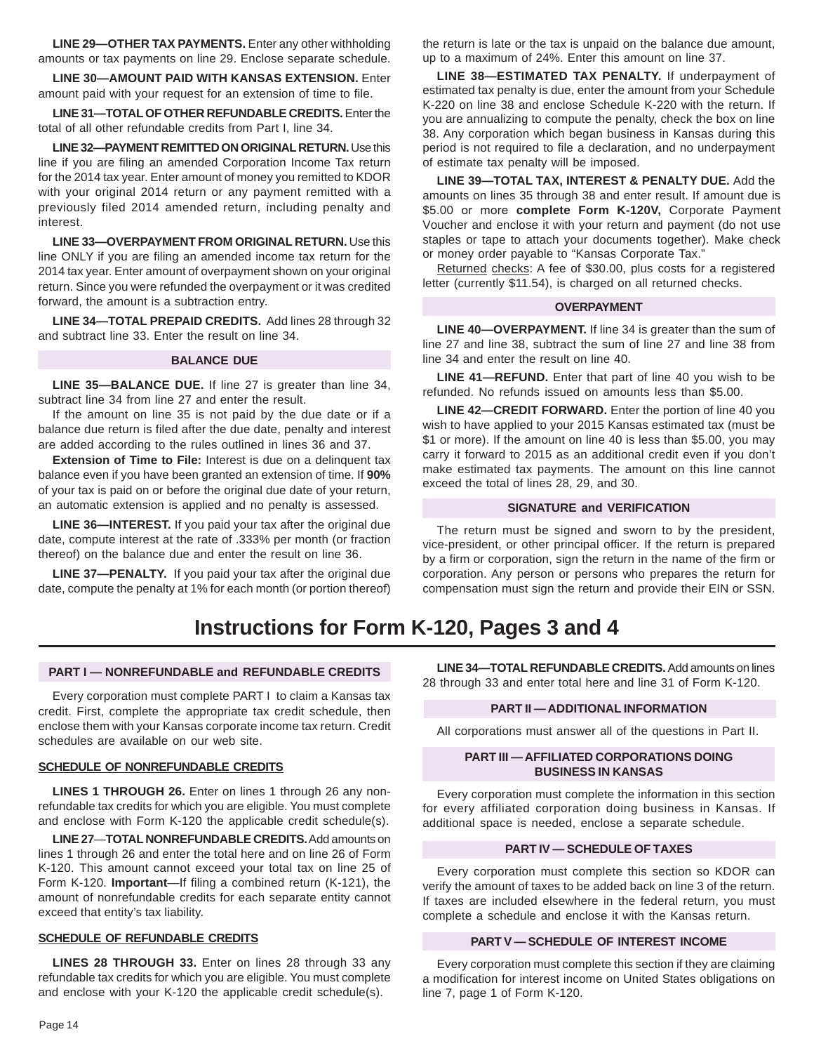**LINE 29—OTHER TAX PAYMENTS.** Enter any other withholding amounts or tax payments on line 29. Enclose separate schedule.

**LINE 30—AMOUNT PAID WITH KANSAS EXTENSION.** Enter amount paid with your request for an extension of time to file.

**LINE 31—TOTAL OF OTHER REFUNDABLE CREDITS.** Enter the total of all other refundable credits from Part I, line 34.

**LINE 32—PAYMENT REMITTED ON ORIGINAL RETURN.** Use this line if you are filing an amended Corporation Income Tax return for the 2014 tax year. Enter amount of money you remitted to KDOR with your original 2014 return or any payment remitted with a previously filed 2014 amended return, including penalty and interest.

**LINE 33—OVERPAYMENT FROM ORIGINAL RETURN.** Use this line ONLY if you are filing an amended income tax return for the 2014 tax year. Enter amount of overpayment shown on your original return. Since you were refunded the overpayment or it was credited forward, the amount is a subtraction entry.

**LINE 34—TOTAL PREPAID CREDITS.** Add lines 28 through 32 and subtract line 33. Enter the result on line 34.

#### **BALANCE DUE**

**LINE 35—BALANCE DUE.** If line 27 is greater than line 34, subtract line 34 from line 27 and enter the result.

If the amount on line 35 is not paid by the due date or if a balance due return is filed after the due date, penalty and interest are added according to the rules outlined in lines 36 and 37.

**Extension of Time to File:** Interest is due on a delinquent tax balance even if you have been granted an extension of time. If **90%**  of your tax is paid on or before the original due date of your return, an automatic extension is applied and no penalty is assessed.

**LINE 36—INTEREST.** If you paid your tax after the original due date, compute interest at the rate of .333% per month (or fraction thereof) on the balance due and enter the result on line 36.

**LINE 37—PENALTY.** If you paid your tax after the original due date, compute the penalty at 1% for each month (or portion thereof)

**Instructions for Form K-120, Pages 3 and 4**

#### **PART I — NONREFUNDABLE and REFUNDABLE CREDITS**

Every corporation must complete PART I to claim a Kansas tax credit. First, complete the appropriate tax credit schedule, then enclose them with your Kansas corporate income tax return. Credit schedules are available on our web site.

#### **SCHEDULE OF NONREFUNDABLE CREDITS**

**LINES 1 THROUGH 26.** Enter on lines 1 through 26 any nonrefundable tax credits for which you are eligible. You must complete and enclose with Form K-120 the applicable credit schedule(s).

**LINE 27**—**TOTAL NONREFUNDABLE CREDITS.** Add amounts on lines 1 through 26 and enter the total here and on line 26 of Form K-120. This amount cannot exceed your total tax on line 25 of Form K-120. **Important**—If filing a combined return (K-121), the amount of nonrefundable credits for each separate entity cannot exceed that entity's tax liability.

#### **SCHEDULE OF REFUNDABLE CREDITS**

**LINES 28 THROUGH 33.** Enter on lines 28 through 33 any refundable tax credits for which you are eligible. You must complete and enclose with your K-120 the applicable credit schedule(s).

the return is late or the tax is unpaid on the balance due amount, up to a maximum of 24%. Enter this amount on line 37.

**LINE 38—ESTIMATED TAX PENALTY.** If underpayment of estimated tax penalty is due, enter the amount from your Schedule K-220 on line 38 and enclose Schedule K-220 with the return. If you are annualizing to compute the penalty, check the box on line 38. Any corporation which began business in Kansas during this period is not required to file a declaration, and no underpayment of estimate tax penalty will be imposed.

**LINE 39—TOTAL TAX, INTEREST & PENALTY DUE.** Add the amounts on lines 35 through 38 and enter result. If amount due is \$5.00 or more **complete Form K-120V,** Corporate Payment Voucher and enclose it with your return and payment (do not use staples or tape to attach your documents together). Make check or money order payable to "Kansas Corporate Tax."

Returned checks: A fee of \$30.00, plus costs for a registered letter (currently \$11.54), is charged on all returned checks.

#### **OVERPAYMENT**

**LINE 40—OVERPAYMENT.** If line 34 is greater than the sum of line 27 and line 38, subtract the sum of line 27 and line 38 from line 34 and enter the result on line 40.

**LINE 41—REFUND.** Enter that part of line 40 you wish to be refunded. No refunds issued on amounts less than \$5.00.

**LINE 42—CREDIT FORWARD.** Enter the portion of line 40 you wish to have applied to your 2015 Kansas estimated tax (must be \$1 or more). If the amount on line 40 is less than \$5.00, you may carry it forward to 2015 as an additional credit even if you don't make estimated tax payments. The amount on this line cannot exceed the total of lines 28, 29, and 30.

#### **SIGNATURE and VERIFICATION**

The return must be signed and sworn to by the president, vice-president, or other principal officer. If the return is prepared by a firm or corporation, sign the return in the name of the firm or corporation. Any person or persons who prepares the return for compensation must sign the return and provide their EIN or SSN.

**LINE 34—TOTAL REFUNDABLE CREDITS.** Add amounts on lines 28 through 33 and enter total here and line 31 of Form K-120.

#### **PART II — ADDITIONAL INFORMATION**

All corporations must answer all of the questions in Part II.

#### **PART III — AFFILIATED CORPORATIONS DOING BUSINESS IN KANSAS**

Every corporation must complete the information in this section for every affiliated corporation doing business in Kansas. If additional space is needed, enclose a separate schedule.

#### **PART IV — SCHEDULE OF TAXES**

Every corporation must complete this section so KDOR can verify the amount of taxes to be added back on line 3 of the return. If taxes are included elsewhere in the federal return, you must complete a schedule and enclose it with the Kansas return.

#### **PART V — SCHEDULE OF INTEREST INCOME**

Every corporation must complete this section if they are claiming a modification for interest income on United States obligations on line 7, page 1 of Form K-120.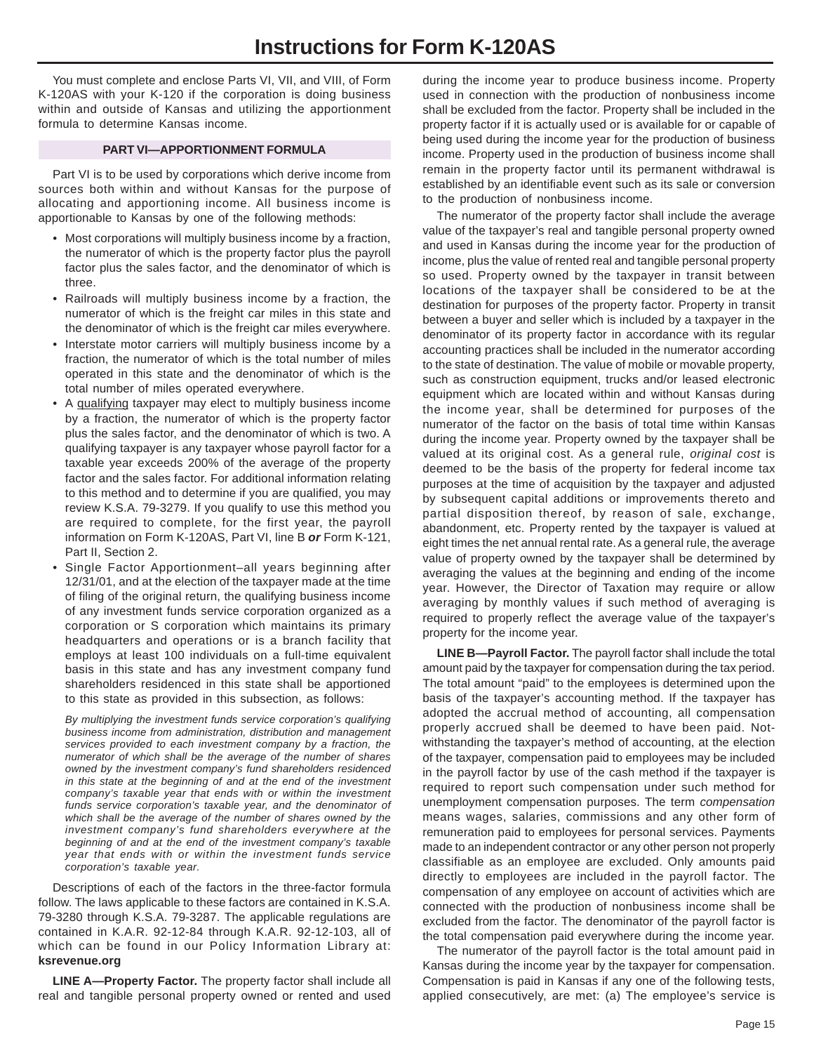You must complete and enclose Parts VI, VII, and VIII, of Form K-120AS with your K-120 if the corporation is doing business within and outside of Kansas and utilizing the apportionment formula to determine Kansas income.

#### **PART VI—APPORTIONMENT FORMULA**

Part VI is to be used by corporations which derive income from sources both within and without Kansas for the purpose of allocating and apportioning income. All business income is apportionable to Kansas by one of the following methods:

- Most corporations will multiply business income by a fraction, the numerator of which is the property factor plus the payroll factor plus the sales factor, and the denominator of which is three.
- Railroads will multiply business income by a fraction, the numerator of which is the freight car miles in this state and the denominator of which is the freight car miles everywhere.
- Interstate motor carriers will multiply business income by a fraction, the numerator of which is the total number of miles operated in this state and the denominator of which is the total number of miles operated everywhere.
- A qualifying taxpayer may elect to multiply business income by a fraction, the numerator of which is the property factor plus the sales factor, and the denominator of which is two. A qualifying taxpayer is any taxpayer whose payroll factor for a taxable year exceeds 200% of the average of the property factor and the sales factor. For additional information relating to this method and to determine if you are qualified, you may review K.S.A. 79-3279. If you qualify to use this method you are required to complete, for the first year, the payroll information on Form K-120AS, Part VI, line B *or* Form K-121, Part II, Section 2.
- Single Factor Apportionment–all years beginning after 12/31/01, and at the election of the taxpayer made at the time of filing of the original return, the qualifying business income of any investment funds service corporation organized as a corporation or S corporation which maintains its primary headquarters and operations or is a branch facility that employs at least 100 individuals on a full-time equivalent basis in this state and has any investment company fund shareholders residenced in this state shall be apportioned to this state as provided in this subsection, as follows:

*By multiplying the investment funds service corporation's qualifying business income from administration, distribution and management services provided to each investment company by a fraction, the numerator of which shall be the average of the number of shares owned by the investment company's fund shareholders residenced in this state at the beginning of and at the end of the investment company's taxable year that ends with or within the investment funds service corporation's taxable year, and the denominator of which shall be the average of the number of shares owned by the investment company's fund shareholders everywhere at the beginning of and at the end of the investment company's taxable year that ends with or within the investment funds service corporation's taxable year.*

Descriptions of each of the factors in the three-factor formula follow. The laws applicable to these factors are contained in K.S.A. 79-3280 through K.S.A. 79-3287. The applicable regulations are contained in K.A.R. 92-12-84 through K.A.R. 92-12-103, all of which can be found in our Policy Information Library at: **ksrevenue.org**

**LINE A—Property Factor.** The property factor shall include all real and tangible personal property owned or rented and used

during the income year to produce business income. Property used in connection with the production of nonbusiness income shall be excluded from the factor. Property shall be included in the property factor if it is actually used or is available for or capable of being used during the income year for the production of business income. Property used in the production of business income shall remain in the property factor until its permanent withdrawal is established by an identifiable event such as its sale or conversion to the production of nonbusiness income.

The numerator of the property factor shall include the average value of the taxpayer's real and tangible personal property owned and used in Kansas during the income year for the production of income, plus the value of rented real and tangible personal property so used. Property owned by the taxpayer in transit between locations of the taxpayer shall be considered to be at the destination for purposes of the property factor. Property in transit between a buyer and seller which is included by a taxpayer in the denominator of its property factor in accordance with its regular accounting practices shall be included in the numerator according to the state of destination. The value of mobile or movable property, such as construction equipment, trucks and/or leased electronic equipment which are located within and without Kansas during the income year, shall be determined for purposes of the numerator of the factor on the basis of total time within Kansas during the income year. Property owned by the taxpayer shall be valued at its original cost. As a general rule, *original cost* is deemed to be the basis of the property for federal income tax purposes at the time of acquisition by the taxpayer and adjusted by subsequent capital additions or improvements thereto and partial disposition thereof, by reason of sale, exchange, abandonment, etc. Property rented by the taxpayer is valued at eight times the net annual rental rate. As a general rule, the average value of property owned by the taxpayer shall be determined by averaging the values at the beginning and ending of the income year. However, the Director of Taxation may require or allow averaging by monthly values if such method of averaging is required to properly reflect the average value of the taxpayer's property for the income year.

**LINE B—Payroll Factor.** The payroll factor shall include the total amount paid by the taxpayer for compensation during the tax period. The total amount "paid" to the employees is determined upon the basis of the taxpayer's accounting method. If the taxpayer has adopted the accrual method of accounting, all compensation properly accrued shall be deemed to have been paid. Notwithstanding the taxpayer's method of accounting, at the election of the taxpayer, compensation paid to employees may be included in the payroll factor by use of the cash method if the taxpayer is required to report such compensation under such method for unemployment compensation purposes. The term *compensation*  means wages, salaries, commissions and any other form of remuneration paid to employees for personal services. Payments made to an independent contractor or any other person not properly classifiable as an employee are excluded. Only amounts paid directly to employees are included in the payroll factor. The compensation of any employee on account of activities which are connected with the production of nonbusiness income shall be excluded from the factor. The denominator of the payroll factor is the total compensation paid everywhere during the income year.

The numerator of the payroll factor is the total amount paid in Kansas during the income year by the taxpayer for compensation. Compensation is paid in Kansas if any one of the following tests, applied consecutively, are met: (a) The employee's service is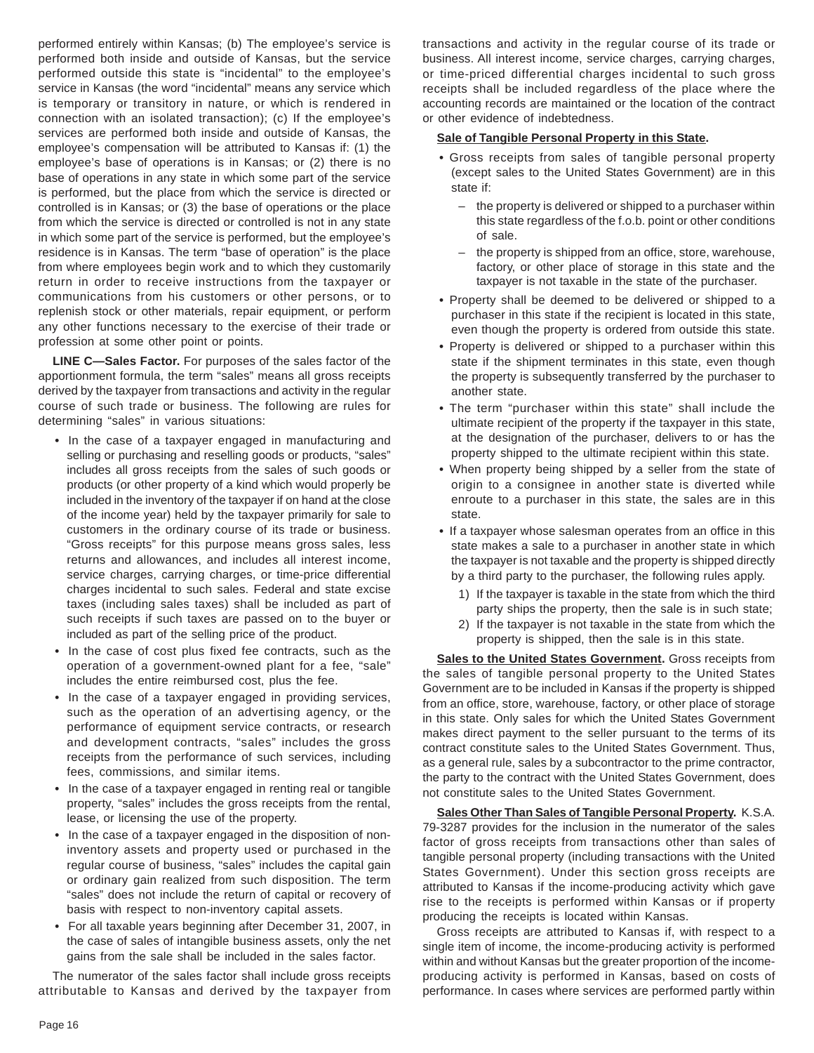performed entirely within Kansas; (b) The employee's service is performed both inside and outside of Kansas, but the service performed outside this state is "incidental" to the employee's service in Kansas (the word "incidental" means any service which is temporary or transitory in nature, or which is rendered in connection with an isolated transaction); (c) If the employee's services are performed both inside and outside of Kansas, the employee's compensation will be attributed to Kansas if: (1) the employee's base of operations is in Kansas; or (2) there is no base of operations in any state in which some part of the service is performed, but the place from which the service is directed or controlled is in Kansas; or (3) the base of operations or the place from which the service is directed or controlled is not in any state in which some part of the service is performed, but the employee's residence is in Kansas. The term "base of operation" is the place from where employees begin work and to which they customarily return in order to receive instructions from the taxpayer or communications from his customers or other persons, or to replenish stock or other materials, repair equipment, or perform any other functions necessary to the exercise of their trade or profession at some other point or points.

**LINE C—Sales Factor.** For purposes of the sales factor of the apportionment formula, the term "sales" means all gross receipts derived by the taxpayer from transactions and activity in the regular course of such trade or business. The following are rules for determining "sales" in various situations:

- **•** In the case of a taxpayer engaged in manufacturing and selling or purchasing and reselling goods or products, "sales" includes all gross receipts from the sales of such goods or products (or other property of a kind which would properly be included in the inventory of the taxpayer if on hand at the close of the income year) held by the taxpayer primarily for sale to customers in the ordinary course of its trade or business. "Gross receipts" for this purpose means gross sales, less returns and allowances, and includes all interest income, service charges, carrying charges, or time-price differential charges incidental to such sales. Federal and state excise taxes (including sales taxes) shall be included as part of such receipts if such taxes are passed on to the buyer or included as part of the selling price of the product.
- **•** In the case of cost plus fixed fee contracts, such as the operation of a government-owned plant for a fee, "sale" includes the entire reimbursed cost, plus the fee.
- **•** In the case of a taxpayer engaged in providing services, such as the operation of an advertising agency, or the performance of equipment service contracts, or research and development contracts, "sales" includes the gross receipts from the performance of such services, including fees, commissions, and similar items.
- **•** In the case of a taxpayer engaged in renting real or tangible property, "sales" includes the gross receipts from the rental, lease, or licensing the use of the property.
- **•** In the case of a taxpayer engaged in the disposition of noninventory assets and property used or purchased in the regular course of business, "sales" includes the capital gain or ordinary gain realized from such disposition. The term "sales" does not include the return of capital or recovery of basis with respect to non-inventory capital assets.
- **•** For all taxable years beginning after December 31, 2007, in the case of sales of intangible business assets, only the net gains from the sale shall be included in the sales factor.

The numerator of the sales factor shall include gross receipts attributable to Kansas and derived by the taxpayer from transactions and activity in the regular course of its trade or business. All interest income, service charges, carrying charges, or time-priced differential charges incidental to such gross receipts shall be included regardless of the place where the accounting records are maintained or the location of the contract or other evidence of indebtedness.

#### **Sale of Tangible Personal Property in this State.**

- **•** Gross receipts from sales of tangible personal property (except sales to the United States Government) are in this state if:
	- the property is delivered or shipped to a purchaser within this state regardless of the f.o.b. point or other conditions of sale.
	- the property is shipped from an office, store, warehouse, factory, or other place of storage in this state and the taxpayer is not taxable in the state of the purchaser.
- **•** Property shall be deemed to be delivered or shipped to a purchaser in this state if the recipient is located in this state, even though the property is ordered from outside this state.
- **•** Property is delivered or shipped to a purchaser within this state if the shipment terminates in this state, even though the property is subsequently transferred by the purchaser to another state.
- **•** The term "purchaser within this state" shall include the ultimate recipient of the property if the taxpayer in this state, at the designation of the purchaser, delivers to or has the property shipped to the ultimate recipient within this state.
- **•** When property being shipped by a seller from the state of origin to a consignee in another state is diverted while enroute to a purchaser in this state, the sales are in this state.
- **•** If a taxpayer whose salesman operates from an office in this state makes a sale to a purchaser in another state in which the taxpayer is not taxable and the property is shipped directly by a third party to the purchaser, the following rules apply.
	- 1) If the taxpayer is taxable in the state from which the third party ships the property, then the sale is in such state;
	- 2) If the taxpayer is not taxable in the state from which the property is shipped, then the sale is in this state.

**Sales to the United States Government.** Gross receipts from the sales of tangible personal property to the United States Government are to be included in Kansas if the property is shipped from an office, store, warehouse, factory, or other place of storage in this state. Only sales for which the United States Government makes direct payment to the seller pursuant to the terms of its contract constitute sales to the United States Government. Thus, as a general rule, sales by a subcontractor to the prime contractor, the party to the contract with the United States Government, does not constitute sales to the United States Government.

**Sales Other Than Sales of Tangible Personal Property.** K.S.A. 79-3287 provides for the inclusion in the numerator of the sales factor of gross receipts from transactions other than sales of tangible personal property (including transactions with the United States Government). Under this section gross receipts are attributed to Kansas if the income-producing activity which gave rise to the receipts is performed within Kansas or if property producing the receipts is located within Kansas.

Gross receipts are attributed to Kansas if, with respect to a single item of income, the income-producing activity is performed within and without Kansas but the greater proportion of the incomeproducing activity is performed in Kansas, based on costs of performance. In cases where services are performed partly within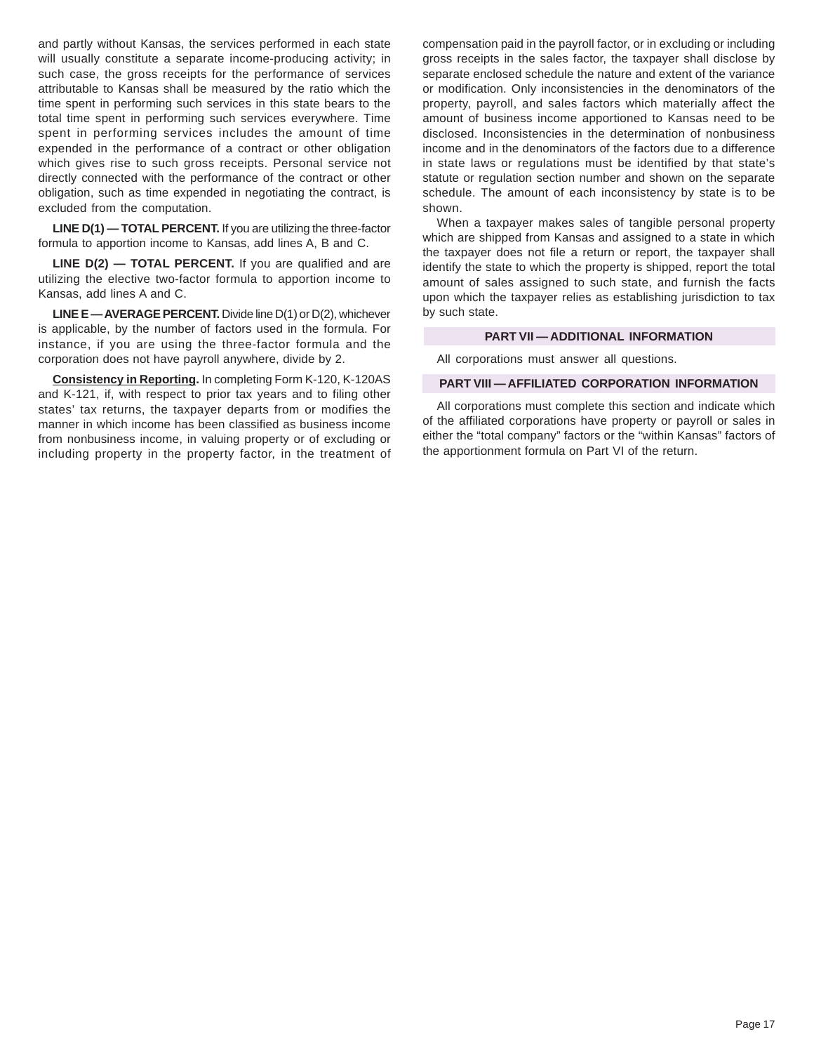and partly without Kansas, the services performed in each state will usually constitute a separate income-producing activity; in such case, the gross receipts for the performance of services attributable to Kansas shall be measured by the ratio which the time spent in performing such services in this state bears to the total time spent in performing such services everywhere. Time spent in performing services includes the amount of time expended in the performance of a contract or other obligation which gives rise to such gross receipts. Personal service not directly connected with the performance of the contract or other obligation, such as time expended in negotiating the contract, is excluded from the computation.

**LINE D(1) — TOTAL PERCENT.** If you are utilizing the three-factor formula to apportion income to Kansas, add lines A, B and C.

LINE D(2) - TOTAL PERCENT. If you are qualified and are utilizing the elective two-factor formula to apportion income to Kansas, add lines A and C.

**LINE E — AVERAGE PERCENT.** Divide line D(1) or D(2), whichever is applicable, by the number of factors used in the formula. For instance, if you are using the three-factor formula and the corporation does not have payroll anywhere, divide by 2.

**Consistency in Reporting.** In completing Form K-120, K-120AS and K-121, if, with respect to prior tax years and to filing other states' tax returns, the taxpayer departs from or modifies the manner in which income has been classified as business income from nonbusiness income, in valuing property or of excluding or including property in the property factor, in the treatment of compensation paid in the payroll factor, or in excluding or including gross receipts in the sales factor, the taxpayer shall disclose by separate enclosed schedule the nature and extent of the variance or modification. Only inconsistencies in the denominators of the property, payroll, and sales factors which materially affect the amount of business income apportioned to Kansas need to be disclosed. Inconsistencies in the determination of nonbusiness income and in the denominators of the factors due to a difference in state laws or regulations must be identified by that state's statute or regulation section number and shown on the separate schedule. The amount of each inconsistency by state is to be shown.

When a taxpayer makes sales of tangible personal property which are shipped from Kansas and assigned to a state in which the taxpayer does not file a return or report, the taxpayer shall identify the state to which the property is shipped, report the total amount of sales assigned to such state, and furnish the facts upon which the taxpayer relies as establishing jurisdiction to tax by such state.

#### **PART VII — ADDITIONAL INFORMATION**

All corporations must answer all questions.

#### **PART VIII — AFFILIATED CORPORATION INFORMATION**

All corporations must complete this section and indicate which of the affiliated corporations have property or payroll or sales in either the "total company" factors or the "within Kansas" factors of the apportionment formula on Part VI of the return.